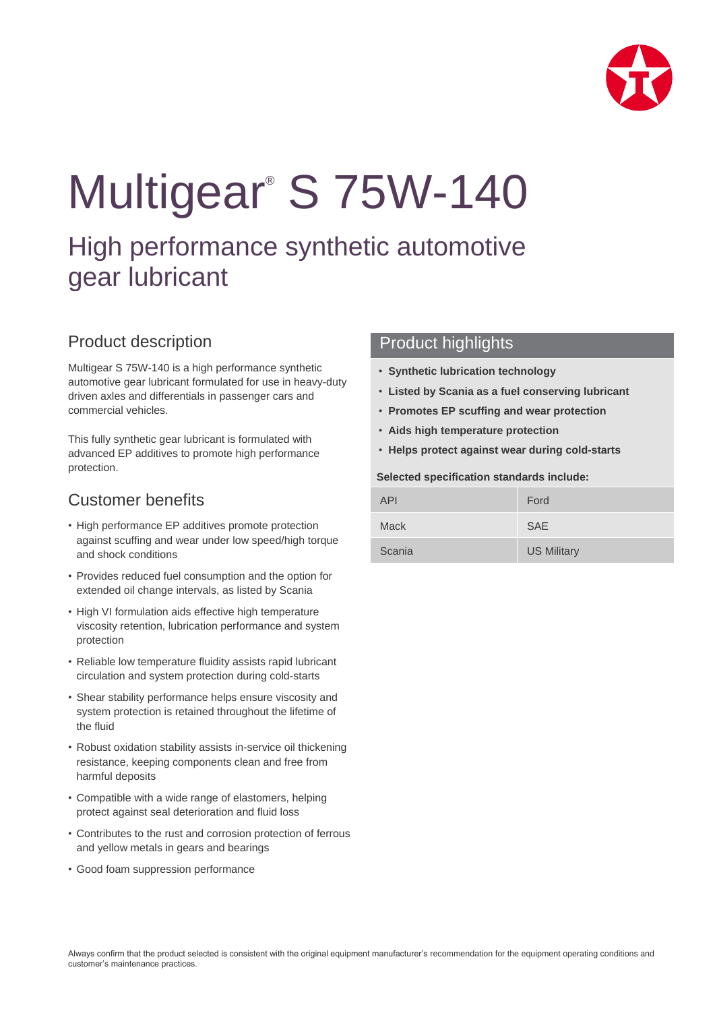

# Multigear® S 75W-140

## High performance synthetic automotive gear lubricant

## Product description

Multigear S 75W-140 is a high performance synthetic automotive gear lubricant formulated for use in heavy-duty driven axles and differentials in passenger cars and commercial vehicles.

This fully synthetic gear lubricant is formulated with advanced EP additives to promote high performance protection.

## Customer benefits

- High performance EP additives promote protection against scuffing and wear under low speed/high torque and shock conditions
- Provides reduced fuel consumption and the option for extended oil change intervals, as listed by Scania
- High VI formulation aids effective high temperature viscosity retention, lubrication performance and system protection
- Reliable low temperature fluidity assists rapid lubricant circulation and system protection during cold-starts
- Shear stability performance helps ensure viscosity and system protection is retained throughout the lifetime of the fluid
- Robust oxidation stability assists in-service oil thickening resistance, keeping components clean and free from harmful deposits
- Compatible with a wide range of elastomers, helping protect against seal deterioration and fluid loss
- Contributes to the rust and corrosion protection of ferrous and yellow metals in gears and bearings
- Good foam suppression performance

#### Product highlights

- **Synthetic lubrication technology**
- **Listed by Scania as a fuel conserving lubricant**
- **Promotes EP scuffing and wear protection**
- **Aids high temperature protection**
- **Helps protect against wear during cold-starts**

#### **Selected specification standards include:**

| API         | Ford               |
|-------------|--------------------|
| <b>Mack</b> | <b>SAE</b>         |
| Scania      | <b>US Military</b> |